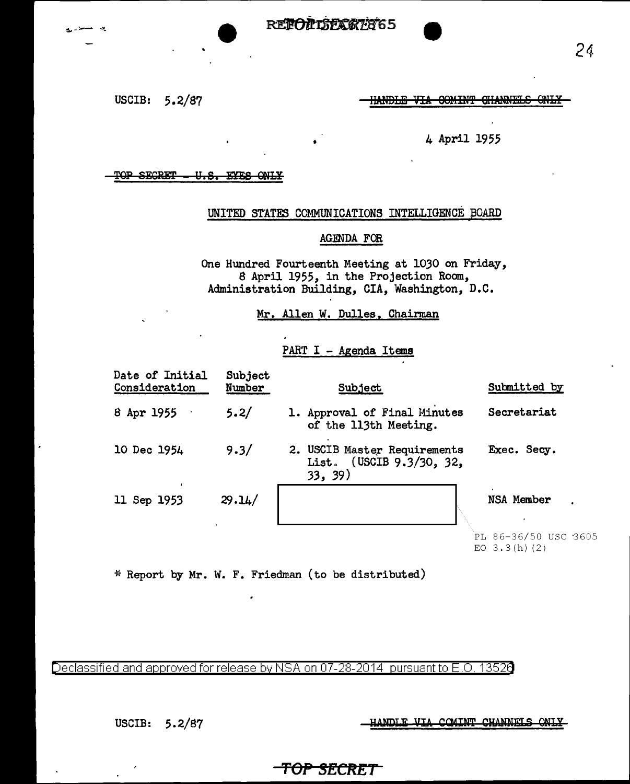USCIB: 5.2/87

**HANDLE VIA COMINT CHANNELS ONLY-**

### 4 April 1955

#### TOP SECRET U.S. EYES ONLY

## UNITED STATES COMMUNICATIONS INTELLIGENCE BOARD

### AGENDA FOR

One Hundred Fourteenth Meeting at 1030 on Friday, 8 April 1955, in the Projection Room, Administration Building, CIA, Washington, D.C.

#### Mr. Allen W. Dulles, Chairman

### PART I - Agenda Items

| Date of Initial<br>Consideration | <b>Subject</b><br>Number | Subject                                                             | Submitted by                                         |
|----------------------------------|--------------------------|---------------------------------------------------------------------|------------------------------------------------------|
| 8 Apr $1955$                     | 5.2/                     | 1. Approval of Final Minutes<br>of the 113th Meeting.               | Secretariat                                          |
| 10 Dec 1954                      | 9.3/                     | 2. USCIB Master Requirements<br>List. (USCIB 9.3/30, 32,<br>33, 39) | Exec. Secy.                                          |
| 11 Sep 1953                      | 29.14/                   |                                                                     | NSA Member<br>PL 86-36/50 USC 3605<br>EO $3.3(h)(2)$ |

\* Report by Mr. W. F. Friedman (to be distributed)

Declassified and approved for release by NSA on 07-28-2014  $\,$  pursuant to E.O. 13526  $\,$ 

USCIB: 5.2/87

ANDLE VIA COMINT CHANNELS ONLY

# <del>-TOP SECRET</del>